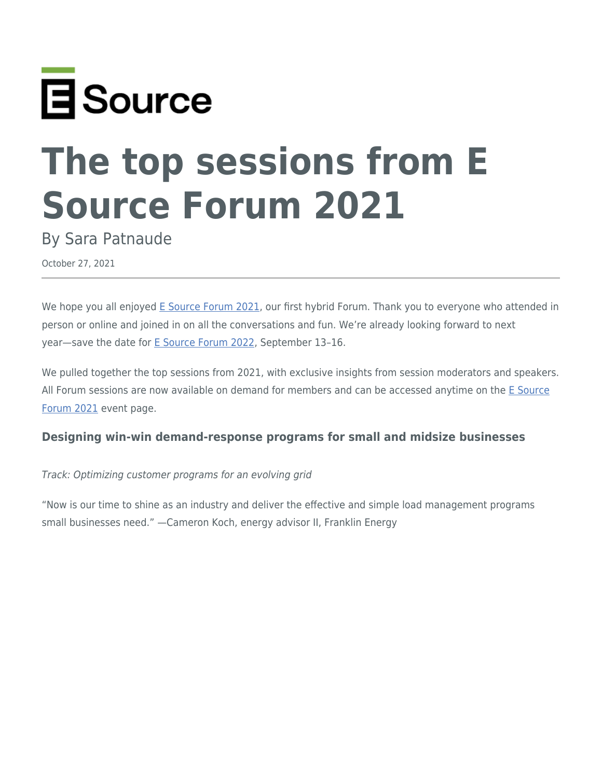

# **The top sessions from E Source Forum 2021**

By Sara Patnaude

October 27, 2021

We hope you all enjoyed [E Source Forum 2021](https://www.esource.com/forum2021), our first hybrid Forum. Thank you to everyone who attended in person or online and joined in on all the conversations and fun. We're already looking forward to next year—save the date for [E Source Forum 2022,](https://www.esource.com/forum2022) September 13–16.

We pulled together the top sessions from 2021, with exclusive insights from session moderators and speakers. All Forum sessions are now available on demand for members and can be accessed anytime on the [E Source](https://www.esource.com/forum2021) [Forum 2021](https://www.esource.com/forum2021) event page.

### **Designing win-win demand-response programs for small and midsize businesses**

Track: Optimizing customer programs for an evolving grid

"Now is our time to shine as an industry and deliver the effective and simple load management programs small businesses need." —Cameron Koch, energy advisor II, Franklin Energy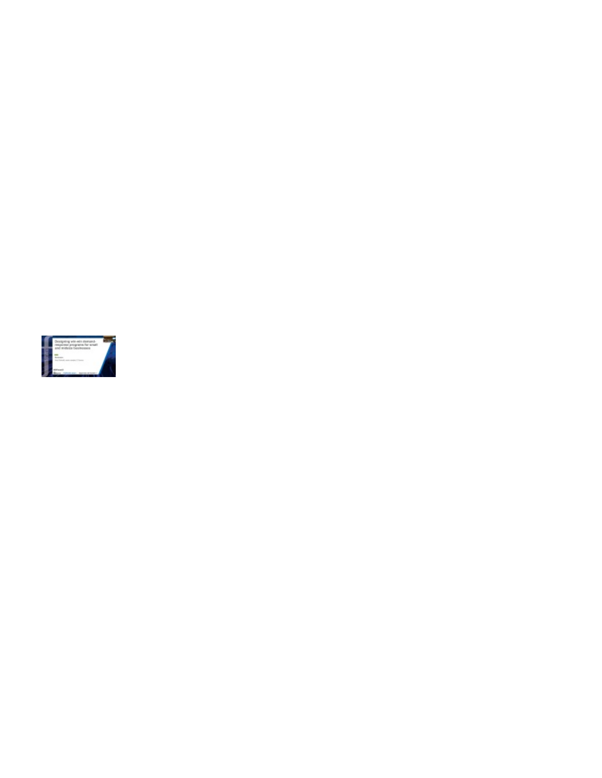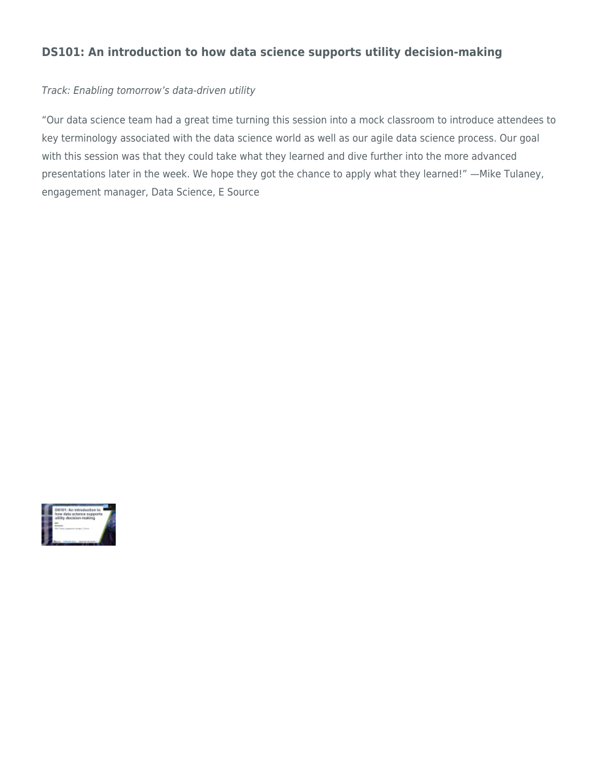## **DS101: An introduction to how data science supports utility decision-making**

#### Track: Enabling tomorrow's data-driven utility

"Our data science team had a great time turning this session into a mock classroom to introduce attendees to key terminology associated with the data science world as well as our agile data science process. Our goal with this session was that they could take what they learned and dive further into the more advanced presentations later in the week. We hope they got the chance to apply what they learned!" —Mike Tulaney, engagement manager, Data Science, E Source

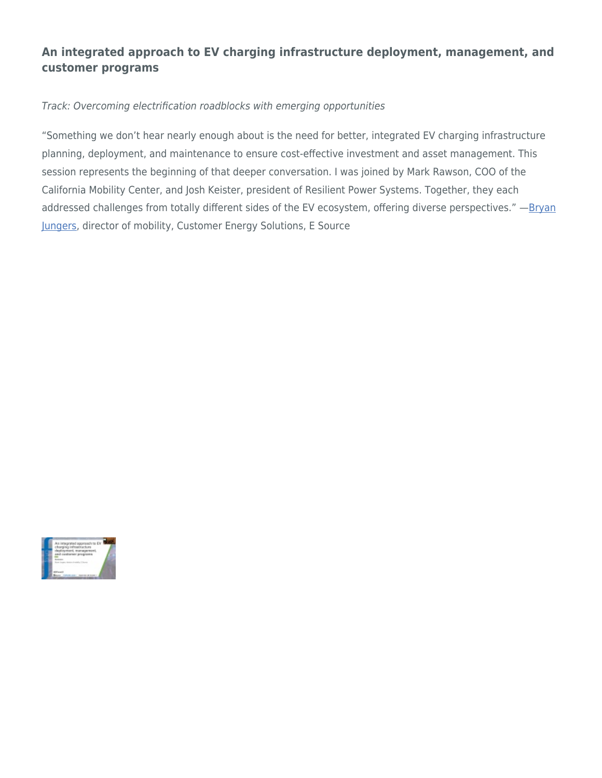## **An integrated approach to EV charging infrastructure deployment, management, and customer programs**

#### Track: Overcoming electrification roadblocks with emerging opportunities

"Something we don't hear nearly enough about is the need for better, integrated EV charging infrastructure planning, deployment, and maintenance to ensure cost-effective investment and asset management. This session represents the beginning of that deeper conversation. I was joined by Mark Rawson, COO of the California Mobility Center, and Josh Keister, president of Resilient Power Systems. Together, they each addressed challenges from totally different sides of the EV ecosystem, offering diverse perspectives." - [Bryan](https://www.esource.com/authors/bryan-jungers) [Jungers,](https://www.esource.com/authors/bryan-jungers) director of mobility, Customer Energy Solutions, E Source

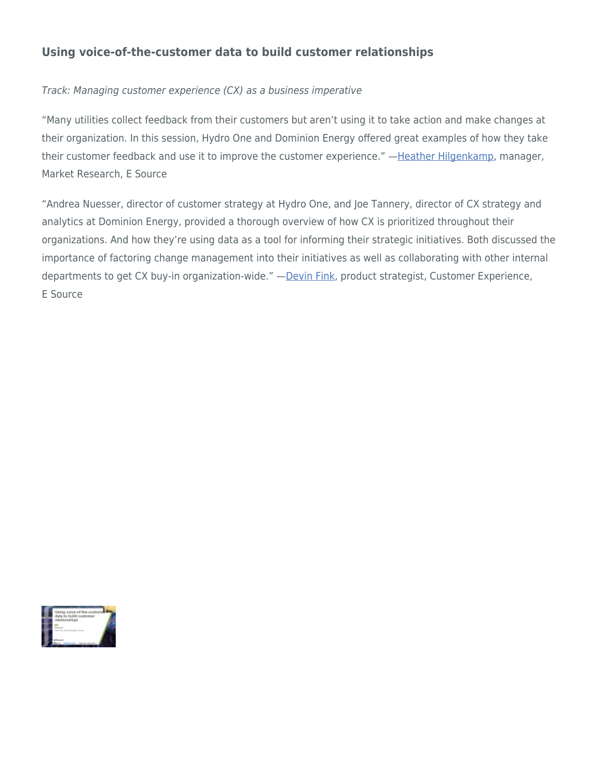## **Using voice-of-the-customer data to build customer relationships**

#### Track: Managing customer experience (CX) as a business imperative

"Many utilities collect feedback from their customers but aren't using it to take action and make changes at their organization. In this session, Hydro One and Dominion Energy offered great examples of how they take their customer feedback and use it to improve the customer experience." -[Heather Hilgenkamp](https://www.esource.com/heather-hilgenkamp), manager, Market Research, E Source

"Andrea Nuesser, director of customer strategy at Hydro One, and Joe Tannery, director of CX strategy and analytics at Dominion Energy, provided a thorough overview of how CX is prioritized throughout their organizations. And how they're using data as a tool for informing their strategic initiatives. Both discussed the importance of factoring change management into their initiatives as well as collaborating with other internal departments to get CX buy-in organization-wide." —[Devin Fink,](https://www.esource.com/devin-fink) product strategist, Customer Experience, E Source

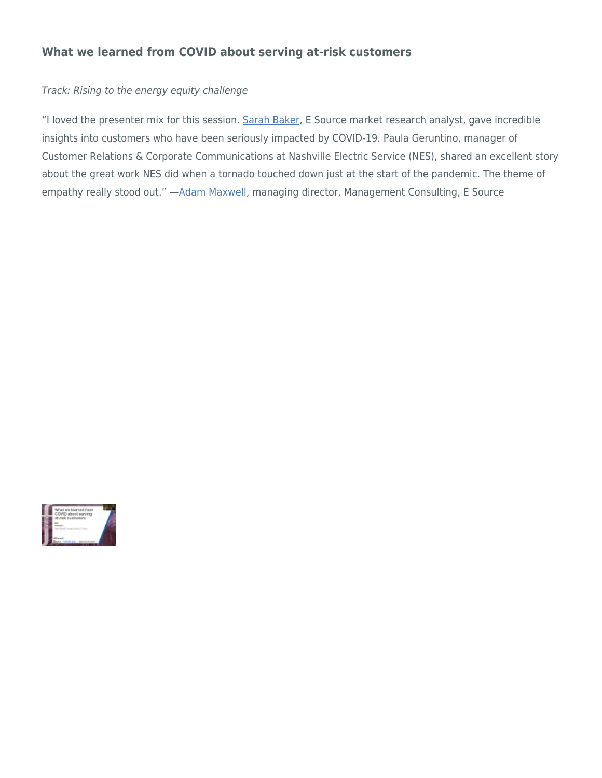## **What we learned from COVID about serving at-risk customers**

#### Track: Rising to the energy equity challenge

"I loved the presenter mix for this session. [Sarah Baker,](https://www.esource.com/sarah-baker) E Source market research analyst, gave incredible insights into customers who have been seriously impacted by COVID-19. Paula Geruntino, manager of Customer Relations & Corporate Communications at Nashville Electric Service (NES), shared an excellent story about the great work NES did when a tornado touched down just at the start of the pandemic. The theme of empathy really stood out." - [Adam Maxwell,](https://www.esource.com/authors/adam-maxwell) managing director, Management Consulting, E Source